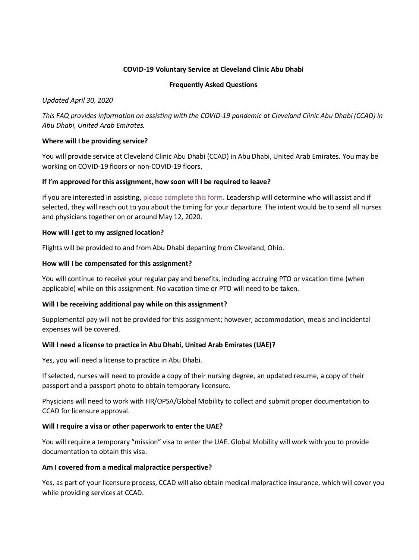## **COVID-19 Voluntary Service at Cleveland Clinic Abu Dhabi**

#### **Frequently Asked Questions**

*Updated April 30, 2020*

*This FAQ provides information on assisting with the COVID-19 pandemic at Cleveland Clinic Abu Dhabi (CCAD) in Abu Dhabi, United Arab Emirates.*

### **Where will I be providing service?**

You will provide service at Cleveland Clinic Abu Dhabi (CCAD) in Abu Dhabi, United Arab Emirates. You may be working on COVID-19 floors or non-COVID-19 floors.

### **If I'm approved for this assignment, how soon will I be required to leave?**

If you are interested in assisting[, please complete this form.](https://survey.clevelandclinic.org/TakeSurvey.aspx?SurveyID=l6MJ4l33J) Leadership will determine who will assist and if selected, they will reach out to you about the timing for your departure. The intent would be to send all nurses and physicians together on or around May 12, 2020.

### **How will I get to my assigned location?**

Flights will be provided to and from Abu Dhabi departing from Cleveland, Ohio.

### **How will I be compensated for this assignment?**

You will continue to receive your regular pay and benefits, including accruing PTO or vacation time (when applicable) while on this assignment. No vacation time or PTO will need to be taken.

## **Will I be receiving additional pay while on this assignment?**

Supplemental pay will not be provided for this assignment; however, accommodation, meals and incidental expenses will be covered.

## **Will I need a license to practice in Abu Dhabi, United Arab Emirates (UAE)?**

Yes, you will need a license to practice in Abu Dhabi.

If selected, nurses will need to provide a copy of their nursing degree, an updated resume, a copy of their passport and a passport photo to obtain temporary licensure.

Physicians will need to work with HR/OPSA/Global Mobility to collect and submit proper documentation to CCAD for licensure approval.

#### **Will I require a visa or other paperwork to enter the UAE?**

You will require a temporary "mission" visa to enter the UAE. Global Mobility will work with you to provide documentation to obtain this visa.

#### **Am I covered from a medical malpractice perspective?**

Yes, as part of your licensure process, CCAD will also obtain medical malpractice insurance, which will cover you while providing services at CCAD.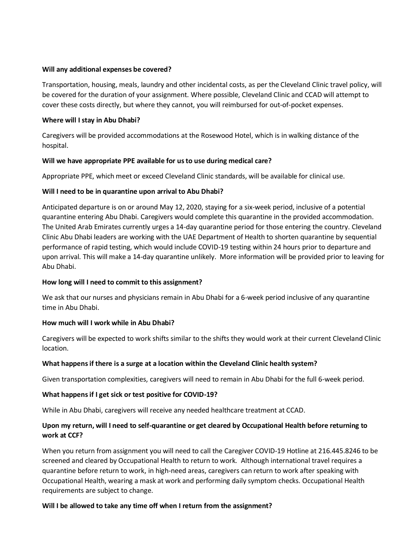### **Will any additional expenses be covered?**

Transportation, housing, meals, laundry and other incidental costs, as per the Cleveland Clinic travel policy, will be covered for the duration of your assignment. Where possible, Cleveland Clinic and CCAD will attempt to cover these costs directly, but where they cannot, you will reimbursed for out-of-pocket expenses.

### **Where will I stay in Abu Dhabi?**

Caregivers will be provided accommodations at the Rosewood Hotel, which is in walking distance of the hospital.

## **Will we have appropriate PPE available for us to use during medical care?**

Appropriate PPE, which meet or exceed Cleveland Clinic standards, will be available for clinical use.

## **Will I need to be in quarantine upon arrival to Abu Dhabi?**

Anticipated departure is on or around May 12, 2020, staying for a six-week period, inclusive of a potential quarantine entering Abu Dhabi. Caregivers would complete this quarantine in the provided accommodation. The United Arab Emirates currently urges a 14-day quarantine period for those entering the country. Cleveland Clinic Abu Dhabi leaders are working with the UAE Department of Health to shorten quarantine by sequential performance of rapid testing, which would include COVID-19 testing within 24 hours prior to departure and upon arrival. This will make a 14-day quarantine unlikely. More information will be provided prior to leaving for Abu Dhabi.

## **How long will I need to commit to this assignment?**

We ask that our nurses and physicians remain in Abu Dhabi for a 6-week period inclusive of any quarantine time in Abu Dhabi.

## **How much will I work while in Abu Dhabi?**

Caregivers will be expected to work shifts similar to the shifts they would work at their current Cleveland Clinic location.

## **What happens if there is a surge at a location within the Cleveland Clinic health system?**

Given transportation complexities, caregivers will need to remain in Abu Dhabi for the full 6-week period.

## **What happens if I get sick or test positive for COVID-19?**

While in Abu Dhabi, caregivers will receive any needed healthcare treatment at CCAD.

# **Upon my return, will I need to self-quarantine or get cleared by Occupational Health before returning to work at CCF?**

When you return from assignment you will need to call the Caregiver COVID-19 Hotline at 216.445.8246 to be screened and cleared by Occupational Health to return to work. Although international travel requires a quarantine before return to work, in high-need areas, caregivers can return to work after speaking with Occupational Health, wearing a mask at work and performing daily symptom checks. Occupational Health requirements are subject to change.

## **Will I be allowed to take any time off when I return from the assignment?**